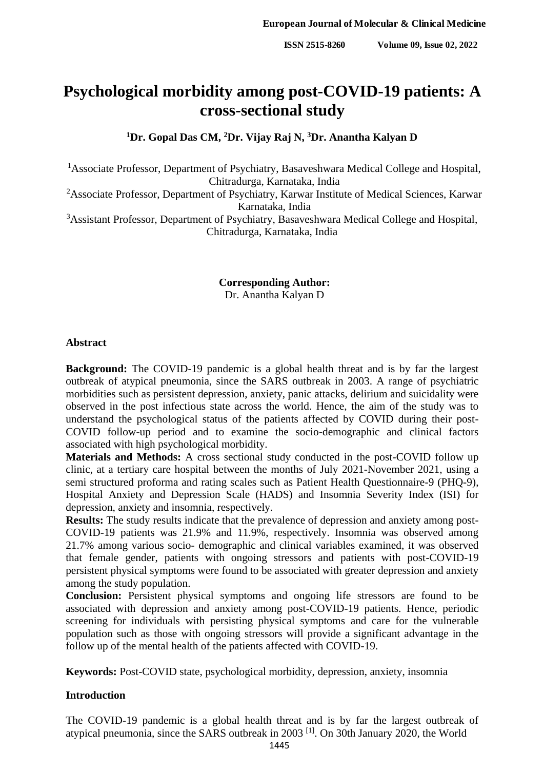# **Psychological morbidity among post-COVID-19 patients: A cross-sectional study**

**<sup>1</sup>Dr. Gopal Das CM, <sup>2</sup>Dr. Vijay Raj N, <sup>3</sup>Dr. Anantha Kalyan D**

<sup>1</sup>Associate Professor, Department of Psychiatry, Basaveshwara Medical College and Hospital, Chitradurga, Karnataka, India

<sup>2</sup>Associate Professor, Department of Psychiatry, Karwar Institute of Medical Sciences, Karwar Karnataka, India

<sup>3</sup>Assistant Professor, Department of Psychiatry, Basaveshwara Medical College and Hospital, Chitradurga, Karnataka, India

> **Corresponding Author:** Dr. Anantha Kalyan D

## **Abstract**

**Background:** The COVID-19 pandemic is a global health threat and is by far the largest outbreak of atypical pneumonia, since the SARS outbreak in 2003. A range of psychiatric morbidities such as persistent depression, anxiety, panic attacks, delirium and suicidality were observed in the post infectious state across the world. Hence, the aim of the study was to understand the psychological status of the patients affected by COVID during their post-COVID follow-up period and to examine the socio-demographic and clinical factors associated with high psychological morbidity.

**Materials and Methods:** A cross sectional study conducted in the post-COVID follow up clinic, at a tertiary care hospital between the months of July 2021-November 2021, using a semi structured proforma and rating scales such as Patient Health Questionnaire-9 (PHQ-9), Hospital Anxiety and Depression Scale (HADS) and Insomnia Severity Index (ISI) for depression, anxiety and insomnia, respectively.

**Results:** The study results indicate that the prevalence of depression and anxiety among post-COVID-19 patients was 21.9% and 11.9%, respectively. Insomnia was observed among 21.7% among various socio- demographic and clinical variables examined, it was observed that female gender, patients with ongoing stressors and patients with post-COVID-19 persistent physical symptoms were found to be associated with greater depression and anxiety among the study population.

**Conclusion:** Persistent physical symptoms and ongoing life stressors are found to be associated with depression and anxiety among post-COVID-19 patients. Hence, periodic screening for individuals with persisting physical symptoms and care for the vulnerable population such as those with ongoing stressors will provide a significant advantage in the follow up of the mental health of the patients affected with COVID-19.

**Keywords:** Post-COVID state, psychological morbidity, depression, anxiety, insomnia

# **Introduction**

The COVID-19 pandemic is a global health threat and is by far the largest outbreak of atypical pneumonia, since the SARS outbreak in 2003<sup>[1]</sup>. On 30th January 2020, the World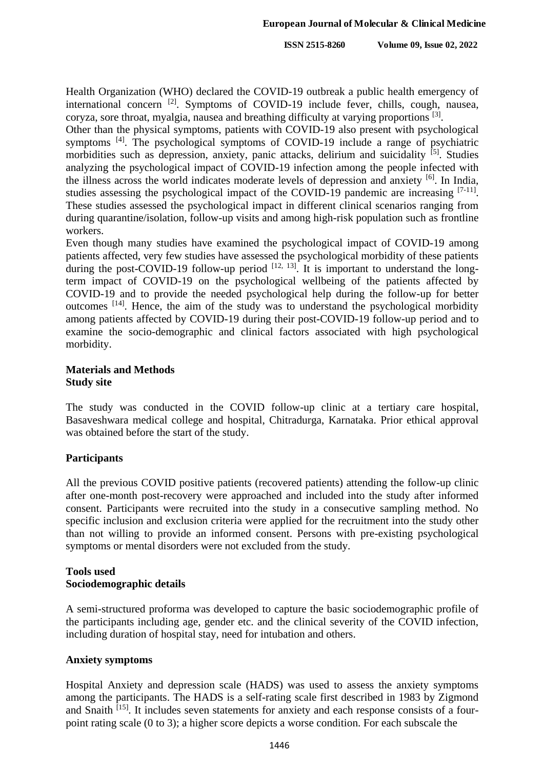Health Organization (WHO) declared the COVID-19 outbreak a public health emergency of international concern<sup>[2]</sup>. Symptoms of COVID-19 include fever, chills, cough, nausea, coryza, sore throat, myalgia, nausea and breathing difficulty at varying proportions <sup>[3]</sup>.

Other than the physical symptoms, patients with COVID-19 also present with psychological symptoms <sup>[4]</sup>. The psychological symptoms of COVID-19 include a range of psychiatric morbidities such as depression, anxiety, panic attacks, delirium and suicidality [5]. Studies analyzing the psychological impact of COVID-19 infection among the people infected with the illness across the world indicates moderate levels of depression and anxiety <sup>[6]</sup>. In India, studies assessing the psychological impact of the COVID-19 pandemic are increasing [7-11]. These studies assessed the psychological impact in different clinical scenarios ranging from during quarantine/isolation, follow-up visits and among high-risk population such as frontline workers.

Even though many studies have examined the psychological impact of COVID-19 among patients affected, very few studies have assessed the psychological morbidity of these patients during the post-COVID-19 follow-up period  $[12, 13]$ . It is important to understand the longterm impact of COVID-19 on the psychological wellbeing of the patients affected by COVID-19 and to provide the needed psychological help during the follow-up for better outcomes <sup>[14]</sup>. Hence, the aim of the study was to understand the psychological morbidity among patients affected by COVID-19 during their post-COVID-19 follow-up period and to examine the socio-demographic and clinical factors associated with high psychological morbidity.

## **Materials and Methods Study site**

The study was conducted in the COVID follow-up clinic at a tertiary care hospital, Basaveshwara medical college and hospital, Chitradurga, Karnataka. Prior ethical approval was obtained before the start of the study.

# **Participants**

All the previous COVID positive patients (recovered patients) attending the follow-up clinic after one-month post-recovery were approached and included into the study after informed consent. Participants were recruited into the study in a consecutive sampling method. No specific inclusion and exclusion criteria were applied for the recruitment into the study other than not willing to provide an informed consent. Persons with pre-existing psychological symptoms or mental disorders were not excluded from the study.

## **Tools used Sociodemographic details**

A semi-structured proforma was developed to capture the basic sociodemographic profile of the participants including age, gender etc. and the clinical severity of the COVID infection, including duration of hospital stay, need for intubation and others.

## **Anxiety symptoms**

Hospital Anxiety and depression scale (HADS) was used to assess the anxiety symptoms among the participants. The HADS is a self-rating scale first described in 1983 by Zigmond and Snaith <sup>[15]</sup>. It includes seven statements for anxiety and each response consists of a fourpoint rating scale (0 to 3); a higher score depicts a worse condition. For each subscale the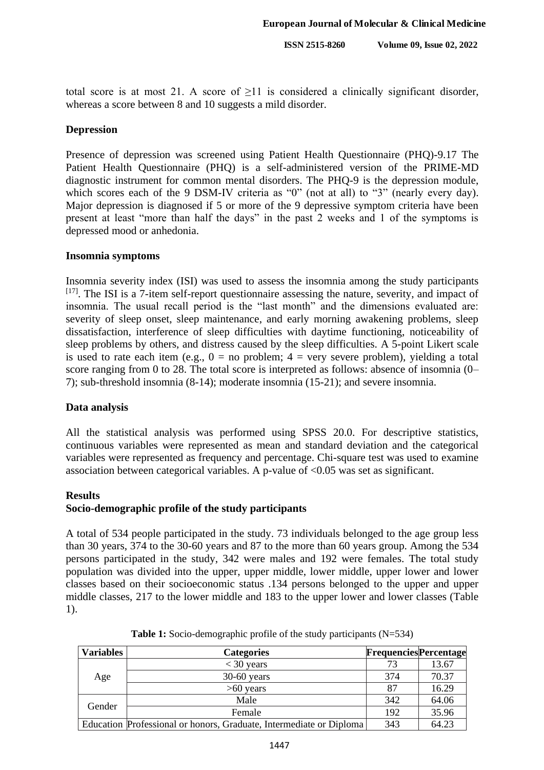total score is at most 21. A score of  $\geq$ 11 is considered a clinically significant disorder, whereas a score between 8 and 10 suggests a mild disorder.

## **Depression**

Presence of depression was screened using Patient Health Questionnaire (PHQ)-9.17 The Patient Health Questionnaire (PHQ) is a self-administered version of the PRIME-MD diagnostic instrument for common mental disorders. The PHQ-9 is the depression module, which scores each of the 9 DSM-IV criteria as "0" (not at all) to "3" (nearly every day). Major depression is diagnosed if 5 or more of the 9 depressive symptom criteria have been present at least "more than half the days" in the past 2 weeks and 1 of the symptoms is depressed mood or anhedonia.

#### **Insomnia symptoms**

Insomnia severity index (ISI) was used to assess the insomnia among the study participants  $[17]$ . The ISI is a 7-item self-report questionnaire assessing the nature, severity, and impact of insomnia. The usual recall period is the "last month" and the dimensions evaluated are: severity of sleep onset, sleep maintenance, and early morning awakening problems, sleep dissatisfaction, interference of sleep difficulties with daytime functioning, noticeability of sleep problems by others, and distress caused by the sleep difficulties. A 5-point Likert scale is used to rate each item (e.g.,  $0 =$  no problem;  $4 =$  very severe problem), yielding a total score ranging from 0 to 28. The total score is interpreted as follows: absence of insomnia (0– 7); sub-threshold insomnia (8-14); moderate insomnia (15-21); and severe insomnia.

## **Data analysis**

All the statistical analysis was performed using SPSS 20.0. For descriptive statistics, continuous variables were represented as mean and standard deviation and the categorical variables were represented as frequency and percentage. Chi-square test was used to examine association between categorical variables. A p-value of <0.05 was set as significant.

#### **Results**

## **Socio-demographic profile of the study participants**

A total of 534 people participated in the study. 73 individuals belonged to the age group less than 30 years, 374 to the 30-60 years and 87 to the more than 60 years group. Among the 534 persons participated in the study, 342 were males and 192 were females. The total study population was divided into the upper, upper middle, lower middle, upper lower and lower classes based on their socioeconomic status .134 persons belonged to the upper and upper middle classes, 217 to the lower middle and 183 to the upper lower and lower classes (Table 1).

| <b>Variables</b> | <b>Categories</b>                                                   | <b>FrequenciesPercentage</b> |       |
|------------------|---------------------------------------------------------------------|------------------------------|-------|
| Age              | $<$ 30 years                                                        | 73                           | 13.67 |
|                  | $30-60$ years                                                       | 374                          | 70.37 |
|                  | $>60$ years                                                         | 87                           | 16.29 |
| Gender           | Male                                                                | 342                          | 64.06 |
|                  | Female                                                              | 192                          | 35.96 |
|                  | Education Professional or honors, Graduate, Intermediate or Diploma | 343                          | 64.23 |

|  |  |  | <b>Table 1:</b> Socio-demographic profile of the study participants $(N=534)$ |  |
|--|--|--|-------------------------------------------------------------------------------|--|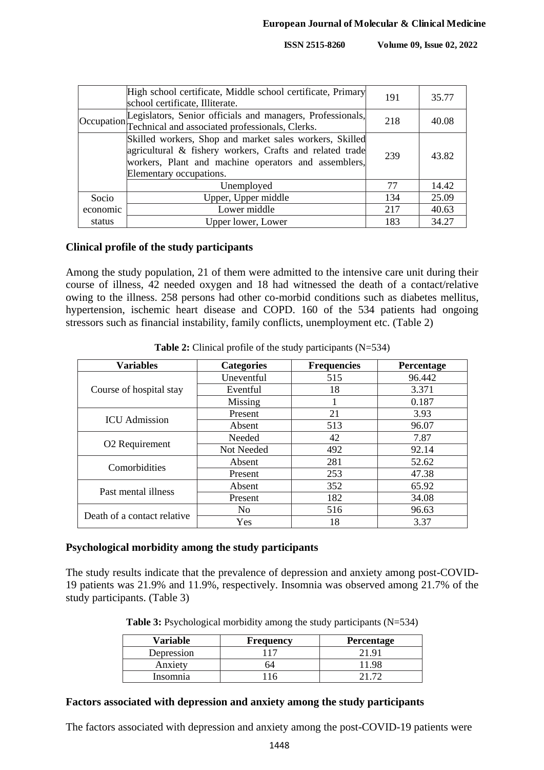|          | High school certificate, Middle school certificate, Primary<br>school certificate, Illiterate.                                                                                                         | 191 | 35.77 |
|----------|--------------------------------------------------------------------------------------------------------------------------------------------------------------------------------------------------------|-----|-------|
|          | Occupation Legislators, Senior officials and managers, Professionals, Clerks.                                                                                                                          | 218 | 40.08 |
|          | Skilled workers, Shop and market sales workers, Skilled<br>agricultural & fishery workers, Crafts and related trade<br>workers, Plant and machine operators and assemblers,<br>Elementary occupations. | 239 | 43.82 |
|          | Unemployed                                                                                                                                                                                             | 77  | 14.42 |
| Socio    | Upper, Upper middle                                                                                                                                                                                    | 134 | 25.09 |
| economic | Lower middle                                                                                                                                                                                           | 217 | 40.63 |
| status   | Upper lower, Lower                                                                                                                                                                                     | 183 | 34.27 |

#### **Clinical profile of the study participants**

Among the study population, 21 of them were admitted to the intensive care unit during their course of illness, 42 needed oxygen and 18 had witnessed the death of a contact/relative owing to the illness. 258 persons had other co-morbid conditions such as diabetes mellitus, hypertension, ischemic heart disease and COPD. 160 of the 534 patients had ongoing stressors such as financial instability, family conflicts, unemployment etc. (Table 2)

| <b>Variables</b>            | <b>Categories</b> | <b>Frequencies</b> | <b>Percentage</b> |  |
|-----------------------------|-------------------|--------------------|-------------------|--|
|                             | Uneventful        | 515                | 96.442            |  |
| Course of hospital stay     | Eventful          | 18                 | 3.371             |  |
|                             | Missing           |                    | 0.187             |  |
| <b>ICU</b> Admission        | Present           | 21                 | 3.93              |  |
|                             | Absent            | 513                | 96.07             |  |
|                             | Needed            | 42                 | 7.87              |  |
| O <sub>2</sub> Requirement  | Not Needed        | 492                | 92.14             |  |
| Comorbidities               | Absent            | 281                | 52.62             |  |
|                             | Present           | 253                | 47.38             |  |
| Past mental illness         | Absent            | 352                | 65.92             |  |
|                             | Present           | 182                | 34.08             |  |
| Death of a contact relative | No                | 516                | 96.63             |  |
|                             | Yes               | 18                 | 3.37              |  |

**Table 2:** Clinical profile of the study participants (N=534)

## **Psychological morbidity among the study participants**

The study results indicate that the prevalence of depression and anxiety among post-COVID-19 patients was 21.9% and 11.9%, respectively. Insomnia was observed among 21.7% of the study participants. (Table 3)

**Table 3:** Psychological morbidity among the study participants (N=534)

| <b>Variable</b> | Frequency | <b>Percentage</b> |
|-----------------|-----------|-------------------|
| Depression      |           | 21 Q1             |
| Anxiety         | h4        |                   |
| Insomnia        |           |                   |

## **Factors associated with depression and anxiety among the study participants**

The factors associated with depression and anxiety among the post-COVID-19 patients were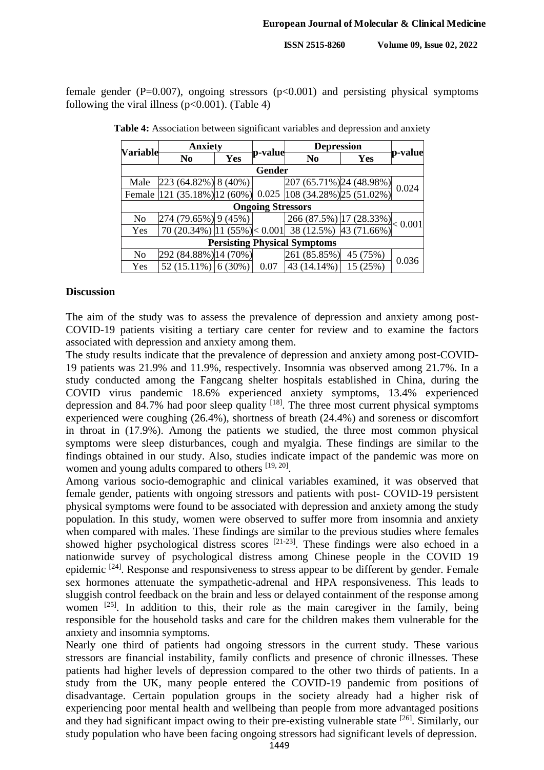female gender ( $P=0.007$ ), ongoing stressors ( $p<0.001$ ) and persisting physical symptoms following the viral illness  $(p<0.001)$ . (Table 4)

| Variable                            | <b>Anxiety</b>                                                                                 |     |         | <b>Depression</b>                                                                                |     |         |  |
|-------------------------------------|------------------------------------------------------------------------------------------------|-----|---------|--------------------------------------------------------------------------------------------------|-----|---------|--|
|                                     | No                                                                                             | Yes | p-value | N <sub>0</sub>                                                                                   | Yes | p-value |  |
|                                     |                                                                                                |     | Gender  |                                                                                                  |     |         |  |
|                                     | Male 223 (64.82%) 8 (40%)<br>Female 121 (35.18%) 12 (60%) 0.025 108 (34.28%) 25 (51.02%) 0.024 |     |         |                                                                                                  |     |         |  |
|                                     |                                                                                                |     |         |                                                                                                  |     |         |  |
| <b>Ongoing Stressors</b>            |                                                                                                |     |         |                                                                                                  |     |         |  |
| No                                  | $274(79.65\%)$ 9 (45%)                                                                         |     |         | $\frac{274 (79.65\%) 9 (45\%)}{70 (20.34\%) 11 (55\%)} < 0.001$ 38 (12.5%) 43 (71.66%) $< 0.001$ |     |         |  |
| Yes                                 |                                                                                                |     |         |                                                                                                  |     |         |  |
| <b>Persisting Physical Symptoms</b> |                                                                                                |     |         |                                                                                                  |     |         |  |
| No                                  | 292 (84.88%) 14 (70%)                                                                          |     |         | 261 (85.85%) 45 (75%)                                                                            |     | 0.036   |  |
| Yes                                 | $52(15.11\%)$ 6 (30%)                                                                          |     | 0.07    | 43 $(14.14\%)$ 15 $(25\%)$                                                                       |     |         |  |

**Table 4:** Association between significant variables and depression and anxiety

## **Discussion**

The aim of the study was to assess the prevalence of depression and anxiety among post-COVID-19 patients visiting a tertiary care center for review and to examine the factors associated with depression and anxiety among them.

The study results indicate that the prevalence of depression and anxiety among post-COVID-19 patients was 21.9% and 11.9%, respectively. Insomnia was observed among 21.7%. In a study conducted among the Fangcang shelter hospitals established in China, during the COVID virus pandemic 18.6% experienced anxiety symptoms, 13.4% experienced depression and  $84.7\%$  had poor sleep quality  $^{[18]}$ . The three most current physical symptoms experienced were coughing (26.4%), shortness of breath (24.4%) and soreness or discomfort in throat in (17.9%). Among the patients we studied, the three most common physical symptoms were sleep disturbances, cough and myalgia. These findings are similar to the findings obtained in our study. Also, studies indicate impact of the pandemic was more on women and young adults compared to others [19, 20].

Among various socio-demographic and clinical variables examined, it was observed that female gender, patients with ongoing stressors and patients with post- COVID-19 persistent physical symptoms were found to be associated with depression and anxiety among the study population. In this study, women were observed to suffer more from insomnia and anxiety when compared with males. These findings are similar to the previous studies where females showed higher psychological distress scores  $[21-23]$ . These findings were also echoed in a nationwide survey of psychological distress among Chinese people in the COVID 19 epidemic  $[24]$ . Response and responsiveness to stress appear to be different by gender. Female sex hormones attenuate the sympathetic-adrenal and HPA responsiveness. This leads to sluggish control feedback on the brain and less or delayed containment of the response among women  $[25]$ . In addition to this, their role as the main caregiver in the family, being responsible for the household tasks and care for the children makes them vulnerable for the anxiety and insomnia symptoms.

Nearly one third of patients had ongoing stressors in the current study. These various stressors are financial instability, family conflicts and presence of chronic illnesses. These patients had higher levels of depression compared to the other two thirds of patients. In a study from the UK, many people entered the COVID-19 pandemic from positions of disadvantage. Certain population groups in the society already had a higher risk of experiencing poor mental health and wellbeing than people from more advantaged positions and they had significant impact owing to their pre-existing vulnerable state <sup>[26]</sup>. Similarly, our study population who have been facing ongoing stressors had significant levels of depression.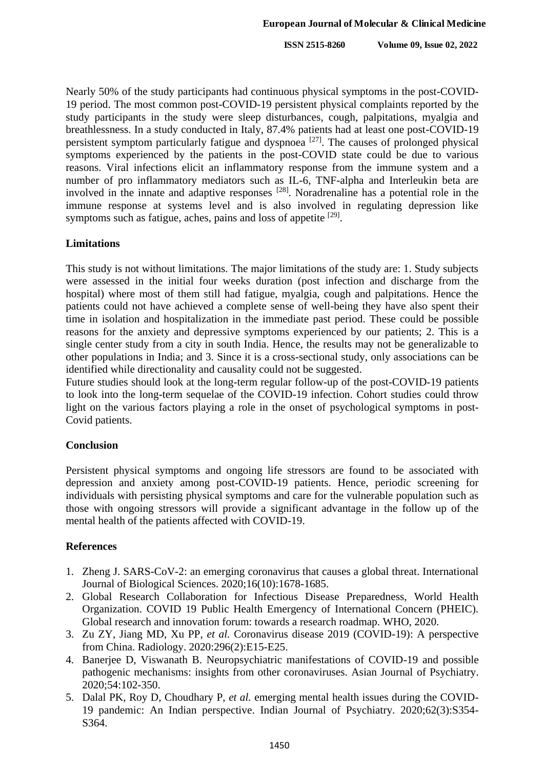Nearly 50% of the study participants had continuous physical symptoms in the post-COVID-19 period. The most common post-COVID-19 persistent physical complaints reported by the study participants in the study were sleep disturbances, cough, palpitations, myalgia and breathlessness. In a study conducted in Italy, 87.4% patients had at least one post-COVID-19 persistent symptom particularly fatigue and dyspnoea<sup>[27]</sup>. The causes of prolonged physical symptoms experienced by the patients in the post-COVID state could be due to various reasons. Viral infections elicit an inflammatory response from the immune system and a number of pro inflammatory mediators such as IL-6, TNF-alpha and Interleukin beta are involved in the innate and adaptive responses  $[28]$ . Noradrenaline has a potential role in the immune response at systems level and is also involved in regulating depression like symptoms such as fatigue, aches, pains and loss of appetite <sup>[29]</sup>.

## **Limitations**

This study is not without limitations. The major limitations of the study are: 1. Study subjects were assessed in the initial four weeks duration (post infection and discharge from the hospital) where most of them still had fatigue, myalgia, cough and palpitations. Hence the patients could not have achieved a complete sense of well-being they have also spent their time in isolation and hospitalization in the immediate past period. These could be possible reasons for the anxiety and depressive symptoms experienced by our patients; 2. This is a single center study from a city in south India. Hence, the results may not be generalizable to other populations in India; and 3. Since it is a cross-sectional study, only associations can be identified while directionality and causality could not be suggested.

Future studies should look at the long-term regular follow-up of the post-COVID-19 patients to look into the long-term sequelae of the COVID-19 infection. Cohort studies could throw light on the various factors playing a role in the onset of psychological symptoms in post-Covid patients.

## **Conclusion**

Persistent physical symptoms and ongoing life stressors are found to be associated with depression and anxiety among post-COVID-19 patients. Hence, periodic screening for individuals with persisting physical symptoms and care for the vulnerable population such as those with ongoing stressors will provide a significant advantage in the follow up of the mental health of the patients affected with COVID-19.

## **References**

- 1. Zheng J. SARS-CoV-2: an emerging coronavirus that causes a global threat. International Journal of Biological Sciences. 2020;16(10):1678-1685.
- 2. Global Research Collaboration for Infectious Disease Preparedness, World Health Organization. COVID 19 Public Health Emergency of International Concern (PHEIC). Global research and innovation forum: towards a research roadmap. WHO, 2020.
- 3. Zu ZY, Jiang MD, Xu PP, *et al.* Coronavirus disease 2019 (COVID-19): A perspective from China. Radiology. 2020:296(2):E15-E25.
- 4. Banerjee D, Viswanath B. Neuropsychiatric manifestations of COVID-19 and possible pathogenic mechanisms: insights from other coronaviruses. Asian Journal of Psychiatry. 2020;54:102-350.
- 5. Dalal PK, Roy D, Choudhary P, *et al.* emerging mental health issues during the COVID-19 pandemic: An Indian perspective. Indian Journal of Psychiatry. 2020;62(3):S354- S364.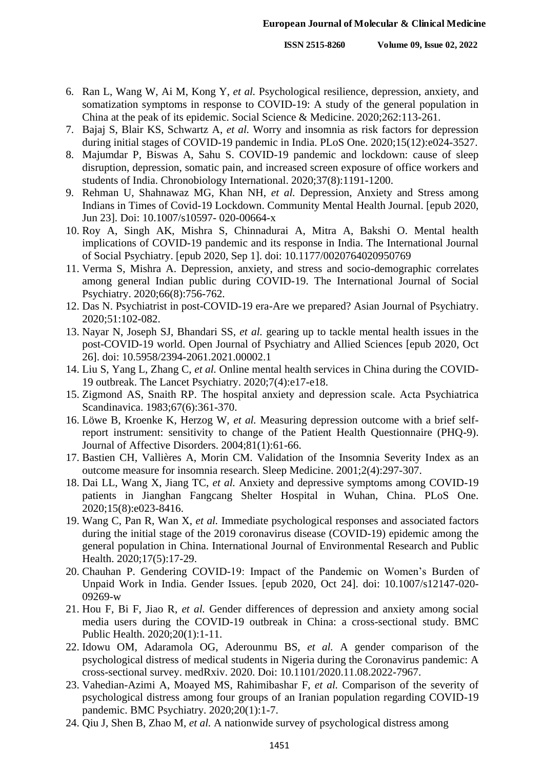- 6. Ran L, Wang W, Ai M, Kong Y, *et al.* Psychological resilience, depression, anxiety, and somatization symptoms in response to COVID-19: A study of the general population in China at the peak of its epidemic. Social Science & Medicine. 2020;262:113-261.
- 7. Bajaj S, Blair KS, Schwartz A, *et al.* Worry and insomnia as risk factors for depression during initial stages of COVID-19 pandemic in India. PLoS One. 2020;15(12):e024-3527.
- 8. Majumdar P, Biswas A, Sahu S. COVID-19 pandemic and lockdown: cause of sleep disruption, depression, somatic pain, and increased screen exposure of office workers and students of India. Chronobiology International. 2020;37(8):1191-1200.
- 9. Rehman U, Shahnawaz MG, Khan NH, *et al.* Depression, Anxiety and Stress among Indians in Times of Covid-19 Lockdown. Community Mental Health Journal. [epub 2020, Jun 23]. Doi: 10.1007/s10597- 020-00664-x
- 10. Roy A, Singh AK, Mishra S, Chinnadurai A, Mitra A, Bakshi O. Mental health implications of COVID-19 pandemic and its response in India. The International Journal of Social Psychiatry. [epub 2020, Sep 1]. doi: 10.1177/0020764020950769
- 11. Verma S, Mishra A. Depression, anxiety, and stress and socio-demographic correlates among general Indian public during COVID-19. The International Journal of Social Psychiatry. 2020;66(8):756-762.
- 12. Das N. Psychiatrist in post-COVID-19 era-Are we prepared? Asian Journal of Psychiatry. 2020;51:102-082.
- 13. Nayar N, Joseph SJ, Bhandari SS, *et al.* gearing up to tackle mental health issues in the post-COVID-19 world. Open Journal of Psychiatry and Allied Sciences [epub 2020, Oct 26]. doi: 10.5958/2394-2061.2021.00002.1
- 14. Liu S, Yang L, Zhang C, *et al.* Online mental health services in China during the COVID-19 outbreak. The Lancet Psychiatry. 2020;7(4):e17-e18.
- 15. Zigmond AS, Snaith RP. The hospital anxiety and depression scale. Acta Psychiatrica Scandinavica. 1983;67(6):361-370.
- 16. Löwe B, Kroenke K, Herzog W, *et al.* Measuring depression outcome with a brief selfreport instrument: sensitivity to change of the Patient Health Questionnaire (PHQ-9). Journal of Affective Disorders. 2004;81(1):61-66.
- 17. Bastien CH, Vallières A, Morin CM. Validation of the Insomnia Severity Index as an outcome measure for insomnia research. Sleep Medicine. 2001;2(4):297-307.
- 18. Dai LL, Wang X, Jiang TC, *et al.* Anxiety and depressive symptoms among COVID-19 patients in Jianghan Fangcang Shelter Hospital in Wuhan, China. PLoS One. 2020;15(8):e023-8416.
- 19. Wang C, Pan R, Wan X, *et al.* Immediate psychological responses and associated factors during the initial stage of the 2019 coronavirus disease (COVID-19) epidemic among the general population in China. International Journal of Environmental Research and Public Health. 2020;17(5):17-29.
- 20. Chauhan P. Gendering COVID-19: Impact of the Pandemic on Women's Burden of Unpaid Work in India. Gender Issues. [epub 2020, Oct 24]. doi: 10.1007/s12147-020- 09269-w
- 21. Hou F, Bi F, Jiao R, *et al.* Gender differences of depression and anxiety among social media users during the COVID-19 outbreak in China: a cross-sectional study. BMC Public Health. 2020;20(1):1-11.
- 22. Idowu OM, Adaramola OG, Aderounmu BS, *et al.* A gender comparison of the psychological distress of medical students in Nigeria during the Coronavirus pandemic: A cross-sectional survey. medRxiv. 2020. Doi: 10.1101/2020.11.08.2022-7967.
- 23. Vahedian-Azimi A, Moayed MS, Rahimibashar F, *et al.* Comparison of the severity of psychological distress among four groups of an Iranian population regarding COVID-19 pandemic. BMC Psychiatry. 2020;20(1):1-7.
- 24. Qiu J, Shen B, Zhao M, *et al.* A nationwide survey of psychological distress among